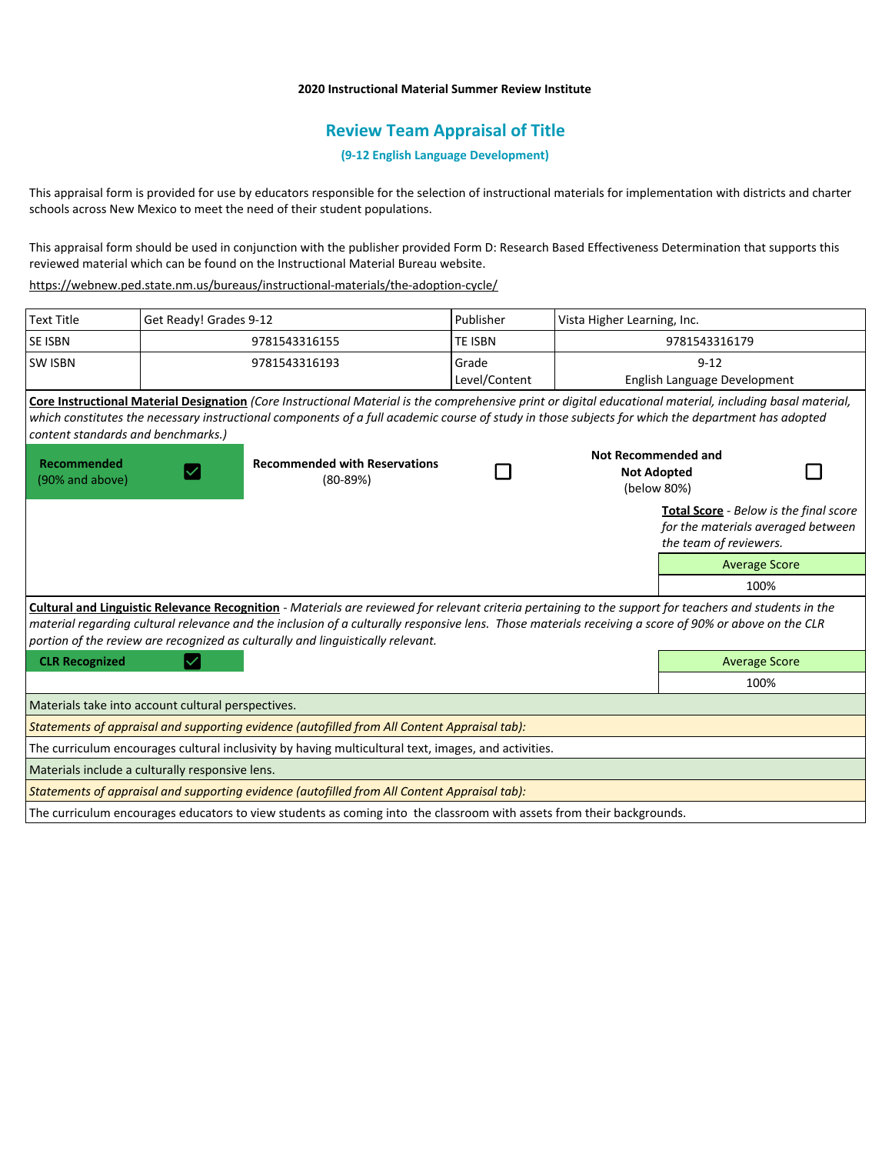## **2020 Instructional Material Summer Review Institute**

# **Review Team Appraisal of Title**

**(9-12 English Language Development)**

This appraisal form is provided for use by educators responsible for the selection of instructional materials for implementation with districts and charter schools across New Mexico to meet the need of their student populations.

This appraisal form should be used in conjunction with the publisher provided Form D: Research Based Effectiveness Determination that supports this reviewed material which can be found on the Instructional Material Bureau website.

<https://webnew.ped.state.nm.us/bureaus/instructional-materials/the-adoption-cycle/>

| <b>Text Title</b>                                                                                                                                                                                                                        | Get Ready! Grades 9-12                             |                                                                                                                                                                                                                                                                                                                  | Publisher      | Vista Higher Learning, Inc.                                     |                                                                                                        |  |
|------------------------------------------------------------------------------------------------------------------------------------------------------------------------------------------------------------------------------------------|----------------------------------------------------|------------------------------------------------------------------------------------------------------------------------------------------------------------------------------------------------------------------------------------------------------------------------------------------------------------------|----------------|-----------------------------------------------------------------|--------------------------------------------------------------------------------------------------------|--|
| <b>SE ISBN</b>                                                                                                                                                                                                                           |                                                    | 9781543316155                                                                                                                                                                                                                                                                                                    | <b>TE ISBN</b> | 9781543316179                                                   |                                                                                                        |  |
| <b>SW ISBN</b>                                                                                                                                                                                                                           |                                                    | 9781543316193                                                                                                                                                                                                                                                                                                    | Grade          | $9 - 12$                                                        |                                                                                                        |  |
|                                                                                                                                                                                                                                          |                                                    |                                                                                                                                                                                                                                                                                                                  | Level/Content  |                                                                 | English Language Development                                                                           |  |
|                                                                                                                                                                                                                                          |                                                    | Core Instructional Material Designation (Core Instructional Material is the comprehensive print or digital educational material, including basal material,<br>which constitutes the necessary instructional components of a full academic course of study in those subjects for which the department has adopted |                |                                                                 |                                                                                                        |  |
| content standards and benchmarks.)                                                                                                                                                                                                       |                                                    |                                                                                                                                                                                                                                                                                                                  |                |                                                                 |                                                                                                        |  |
| <b>Recommended</b><br>(90% and above)                                                                                                                                                                                                    | <b>Recommended with Reservations</b><br>$(80-89%)$ |                                                                                                                                                                                                                                                                                                                  |                | <b>Not Recommended and</b><br><b>Not Adopted</b><br>(below 80%) |                                                                                                        |  |
|                                                                                                                                                                                                                                          |                                                    |                                                                                                                                                                                                                                                                                                                  |                |                                                                 | Total Score - Below is the final score<br>for the materials averaged between<br>the team of reviewers. |  |
|                                                                                                                                                                                                                                          |                                                    |                                                                                                                                                                                                                                                                                                                  |                |                                                                 | <b>Average Score</b>                                                                                   |  |
|                                                                                                                                                                                                                                          |                                                    |                                                                                                                                                                                                                                                                                                                  |                |                                                                 | 100%                                                                                                   |  |
| Cultural and Linguistic Relevance Recognition - Materials are reviewed for relevant criteria pertaining to the support for teachers and students in the                                                                                  |                                                    |                                                                                                                                                                                                                                                                                                                  |                |                                                                 |                                                                                                        |  |
| material regarding cultural relevance and the inclusion of a culturally responsive lens. Those materials receiving a score of 90% or above on the CLR<br>portion of the review are recognized as culturally and linguistically relevant. |                                                    |                                                                                                                                                                                                                                                                                                                  |                |                                                                 |                                                                                                        |  |
| <b>CLR Recognized</b>                                                                                                                                                                                                                    |                                                    |                                                                                                                                                                                                                                                                                                                  |                |                                                                 | <b>Average Score</b>                                                                                   |  |
|                                                                                                                                                                                                                                          |                                                    |                                                                                                                                                                                                                                                                                                                  |                |                                                                 | 100%                                                                                                   |  |
|                                                                                                                                                                                                                                          | Materials take into account cultural perspectives. |                                                                                                                                                                                                                                                                                                                  |                |                                                                 |                                                                                                        |  |
| Statements of appraisal and supporting evidence (autofilled from All Content Appraisal tab):                                                                                                                                             |                                                    |                                                                                                                                                                                                                                                                                                                  |                |                                                                 |                                                                                                        |  |
| The curriculum encourages cultural inclusivity by having multicultural text, images, and activities.                                                                                                                                     |                                                    |                                                                                                                                                                                                                                                                                                                  |                |                                                                 |                                                                                                        |  |
|                                                                                                                                                                                                                                          | Materials include a culturally responsive lens.    |                                                                                                                                                                                                                                                                                                                  |                |                                                                 |                                                                                                        |  |
| Statements of appraisal and supporting evidence (autofilled from All Content Appraisal tab):                                                                                                                                             |                                                    |                                                                                                                                                                                                                                                                                                                  |                |                                                                 |                                                                                                        |  |
|                                                                                                                                                                                                                                          |                                                    | The curriculum encourages educators to view students as coming into the classroom with assets from their backgrounds.                                                                                                                                                                                            |                |                                                                 |                                                                                                        |  |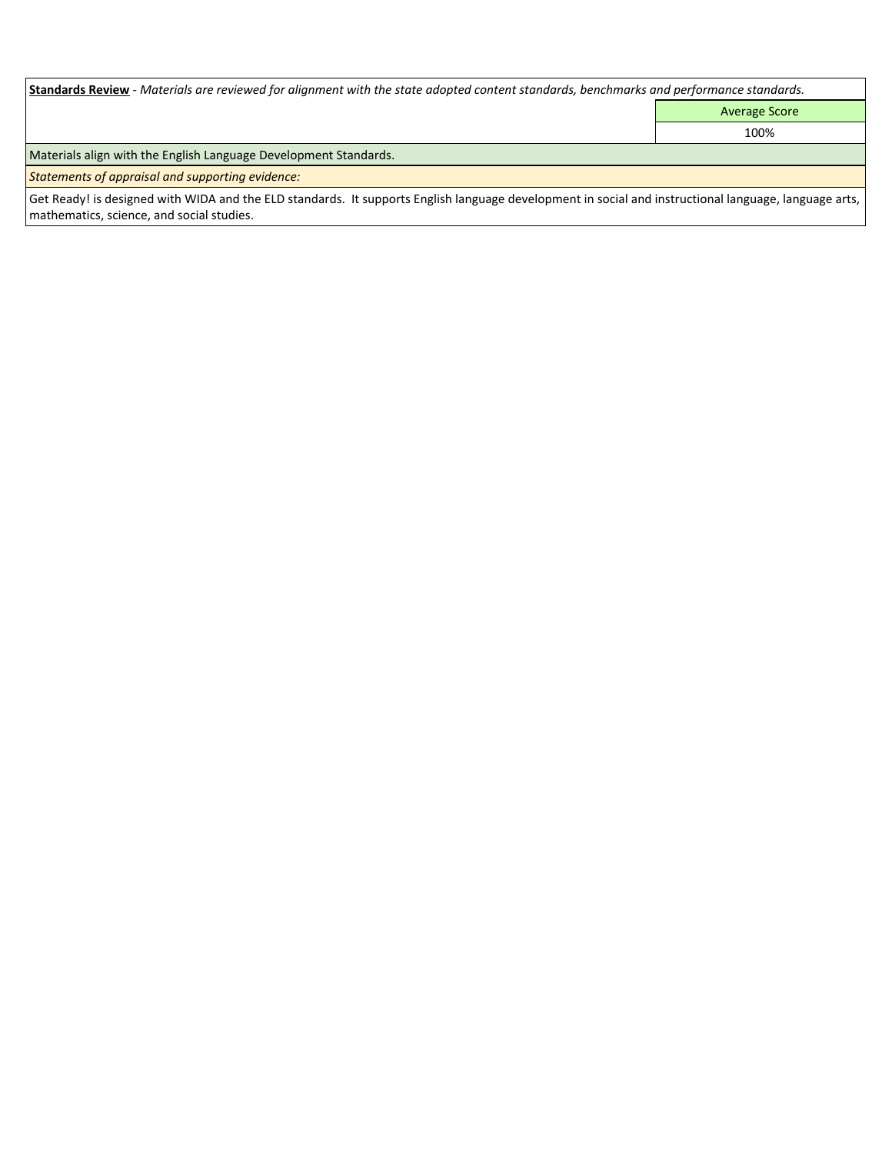| Standards Review - Materials are reviewed for alignment with the state adopted content standards, benchmarks and performance standards.                                                              |                      |  |  |  |  |
|------------------------------------------------------------------------------------------------------------------------------------------------------------------------------------------------------|----------------------|--|--|--|--|
|                                                                                                                                                                                                      | <b>Average Score</b> |  |  |  |  |
|                                                                                                                                                                                                      | 100%                 |  |  |  |  |
| Materials align with the English Language Development Standards.                                                                                                                                     |                      |  |  |  |  |
| Statements of appraisal and supporting evidence:                                                                                                                                                     |                      |  |  |  |  |
| Get Ready! is designed with WIDA and the ELD standards. It supports English language development in social and instructional language, language arts,  <br>mathematics, science, and social studies. |                      |  |  |  |  |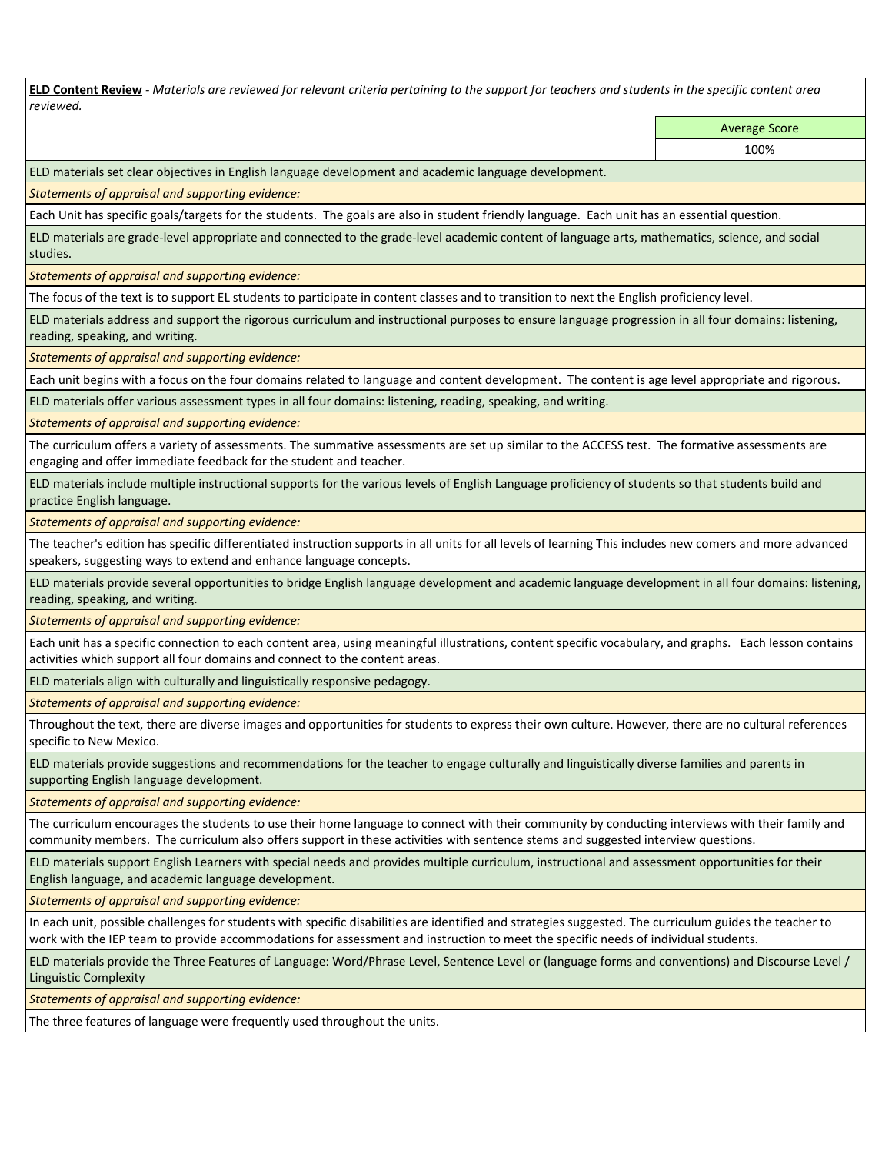**ELD Content Review** *- Materials are reviewed for relevant criteria pertaining to the support for teachers and students in the specific content area reviewed.*

Average Score

100%

ELD materials set clear objectives in English language development and academic language development.

*Statements of appraisal and supporting evidence:* 

Each Unit has specific goals/targets for the students. The goals are also in student friendly language. Each unit has an essential question.

ELD materials are grade-level appropriate and connected to the grade-level academic content of language arts, mathematics, science, and social studies.

*Statements of appraisal and supporting evidence:* 

The focus of the text is to support EL students to participate in content classes and to transition to next the English proficiency level.

ELD materials address and support the rigorous curriculum and instructional purposes to ensure language progression in all four domains: listening, reading, speaking, and writing.

*Statements of appraisal and supporting evidence:* 

Each unit begins with a focus on the four domains related to language and content development. The content is age level appropriate and rigorous.

ELD materials offer various assessment types in all four domains: listening, reading, speaking, and writing.

*Statements of appraisal and supporting evidence:* 

The curriculum offers a variety of assessments. The summative assessments are set up similar to the ACCESS test. The formative assessments are engaging and offer immediate feedback for the student and teacher.

ELD materials include multiple instructional supports for the various levels of English Language proficiency of students so that students build and practice English language.

*Statements of appraisal and supporting evidence:* 

The teacher's edition has specific differentiated instruction supports in all units for all levels of learning This includes new comers and more advanced speakers, suggesting ways to extend and enhance language concepts.

ELD materials provide several opportunities to bridge English language development and academic language development in all four domains: listening, reading, speaking, and writing.

*Statements of appraisal and supporting evidence:* 

Each unit has a specific connection to each content area, using meaningful illustrations, content specific vocabulary, and graphs. Each lesson contains activities which support all four domains and connect to the content areas.

ELD materials align with culturally and linguistically responsive pedagogy.

*Statements of appraisal and supporting evidence:* 

Throughout the text, there are diverse images and opportunities for students to express their own culture. However, there are no cultural references specific to New Mexico.

ELD materials provide suggestions and recommendations for the teacher to engage culturally and linguistically diverse families and parents in supporting English language development.

*Statements of appraisal and supporting evidence:* 

The curriculum encourages the students to use their home language to connect with their community by conducting interviews with their family and community members. The curriculum also offers support in these activities with sentence stems and suggested interview questions.

ELD materials support English Learners with special needs and provides multiple curriculum, instructional and assessment opportunities for their English language, and academic language development.

*Statements of appraisal and supporting evidence:* 

In each unit, possible challenges for students with specific disabilities are identified and strategies suggested. The curriculum guides the teacher to work with the IEP team to provide accommodations for assessment and instruction to meet the specific needs of individual students.

ELD materials provide the Three Features of Language: Word/Phrase Level, Sentence Level or (language forms and conventions) and Discourse Level / Linguistic Complexity

*Statements of appraisal and supporting evidence:* 

The three features of language were frequently used throughout the units.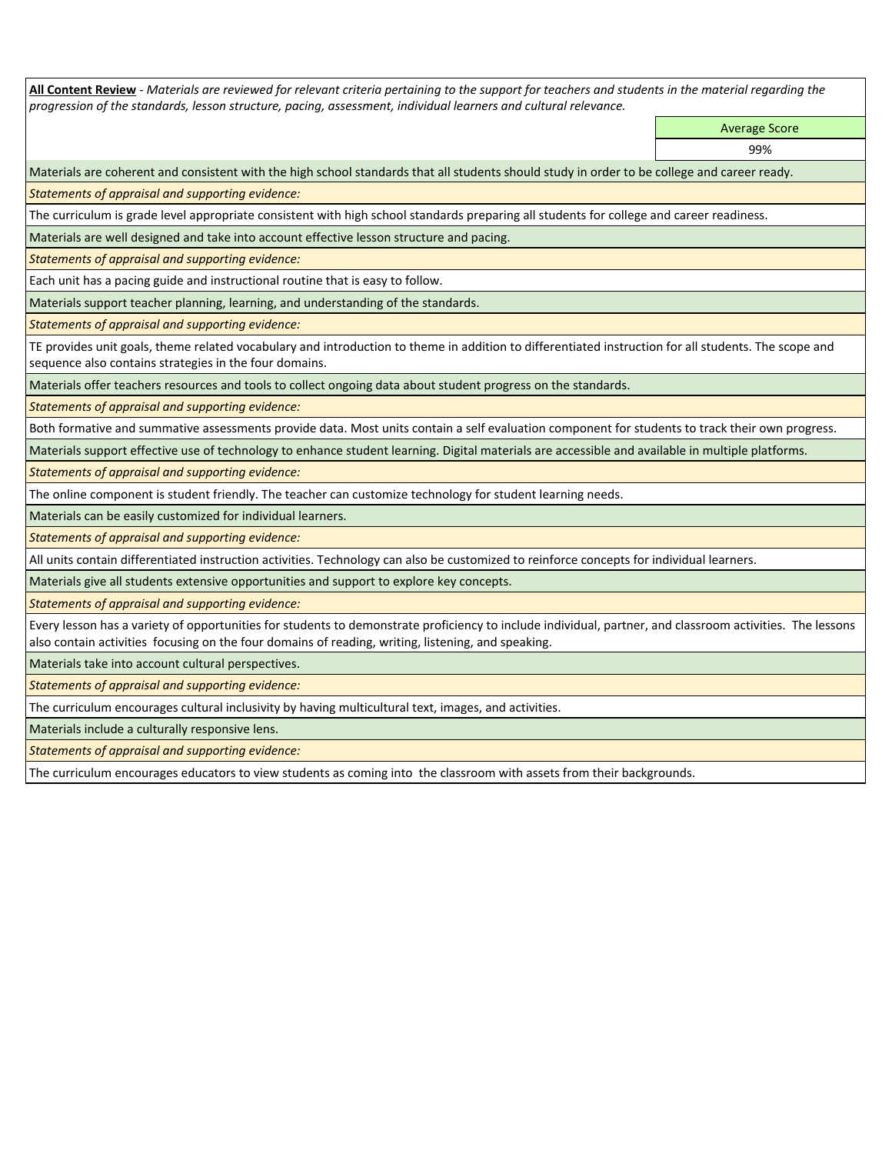**All Content Review** *- Materials are reviewed for relevant criteria pertaining to the support for teachers and students in the material regarding the progression of the standards, lesson structure, pacing, assessment, individual learners and cultural relevance.*

> Average Score 99%

Materials are coherent and consistent with the high school standards that all students should study in order to be college and career ready.

*Statements of appraisal and supporting evidence:*

The curriculum is grade level appropriate consistent with high school standards preparing all students for college and career readiness.

Materials are well designed and take into account effective lesson structure and pacing.

*Statements of appraisal and supporting evidence:*

Each unit has a pacing guide and instructional routine that is easy to follow.

Materials support teacher planning, learning, and understanding of the standards.

*Statements of appraisal and supporting evidence:* 

TE provides unit goals, theme related vocabulary and introduction to theme in addition to differentiated instruction for all students. The scope and sequence also contains strategies in the four domains.

Materials offer teachers resources and tools to collect ongoing data about student progress on the standards.

*Statements of appraisal and supporting evidence:*

Both formative and summative assessments provide data. Most units contain a self evaluation component for students to track their own progress.

Materials support effective use of technology to enhance student learning. Digital materials are accessible and available in multiple platforms.

*Statements of appraisal and supporting evidence:*

The online component is student friendly. The teacher can customize technology for student learning needs.

Materials can be easily customized for individual learners.

*Statements of appraisal and supporting evidence:* 

All units contain differentiated instruction activities. Technology can also be customized to reinforce concepts for individual learners.

Materials give all students extensive opportunities and support to explore key concepts.

*Statements of appraisal and supporting evidence:*

Every lesson has a variety of opportunities for students to demonstrate proficiency to include individual, partner, and classroom activities. The lessons also contain activities focusing on the four domains of reading, writing, listening, and speaking.

Materials take into account cultural perspectives.

*Statements of appraisal and supporting evidence:*

The curriculum encourages cultural inclusivity by having multicultural text, images, and activities.

Materials include a culturally responsive lens.

*Statements of appraisal and supporting evidence:*

The curriculum encourages educators to view students as coming into the classroom with assets from their backgrounds.